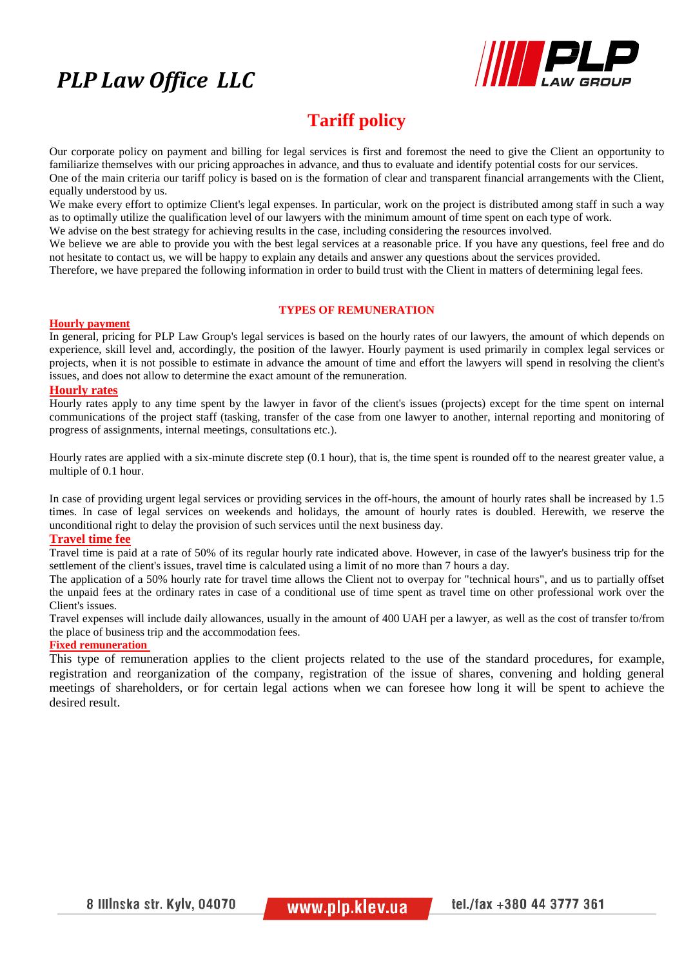# *PLP Law Office LLC*



# **Tariff policy**

Our corporate policy on payment and billing for legal services is first and foremost the need to give the Client an opportunity to familiarize themselves with our pricing approaches in advance, and thus to evaluate and identify potential costs for our services. One of the main criteria our tariff policy is based on is the formation of clear and transparent financial arrangements with the Client, equally understood by us.

We make every effort to optimize Client's legal expenses. In particular, work on the project is distributed among staff in such a way as to optimally utilize the qualification level of our lawyers with the minimum amount of time spent on each type of work.

We advise on the best strategy for achieving results in the case, including considering the resources involved.

We believe we are able to provide you with the best legal services at a reasonable price. If you have any questions, feel free and do not hesitate to contact us, we will be happy to explain any details and answer any questions about the services provided.

Therefore, we have prepared the following information in order to build trust with the Client in matters of determining legal fees.

# **TYPES OF REMUNERATION**

#### **Hourly payment**

In general, pricing for PLP Law Group's legal services is based on the hourly rates of our lawyers, the amount of which depends on experience, skill level and, accordingly, the position of the lawyer. Hourly payment is used primarily in complex legal services or projects, when it is not possible to estimate in advance the amount of time and effort the lawyers will spend in resolving the client's issues, and does not allow to determine the exact amount of the remuneration.

### **Hourly rates**

Hourly rates apply to any time spent by the lawyer in favor of the client's issues (projects) except for the time spent on internal communications of the project staff (tasking, transfer of the case from one lawyer to another, internal reporting and monitoring of progress of assignments, internal meetings, consultations etc.).

Hourly rates are applied with a six-minute discrete step (0.1 hour), that is, the time spent is rounded off to the nearest greater value, a multiple of 0.1 hour.

In case of providing urgent legal services or providing services in the off-hours, the amount of hourly rates shall be increased by 1.5 times. In case of legal services on weekends and holidays, the amount of hourly rates is doubled. Herewith, we reserve the unconditional right to delay the provision of such services until the next business day.

## **Travel time fee**

Travel time is paid at a rate of 50% of its regular hourly rate indicated above. However, in case of the lawyer's business trip for the settlement of the client's issues, travel time is calculated using a limit of no more than 7 hours a day.

The application of a 50% hourly rate for travel time allows the Client not to overpay for "technical hours", and us to partially offset the unpaid fees at the ordinary rates in case of a conditional use of time spent as travel time on other professional work over the Client's issues.

Travel expenses will include daily allowances, usually in the amount of 400 UAH per a lawyer, as well as the cost of transfer to/from the place of business trip and the accommodation fees.

### **Fixed remuneration**

This type of remuneration applies to the client projects related to the use of the standard procedures, for example, registration and reorganization of the company, registration of the issue of shares, convening and holding general meetings of shareholders, or for certain legal actions when we can foresee how long it will be spent to achieve the desired result.